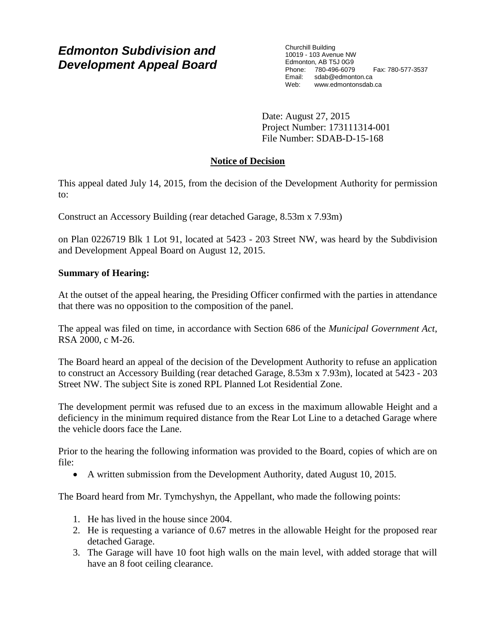# *Edmonton Subdivision and Development Appeal Board*

Churchill Building 10019 - 103 Avenue NW Edmonton, AB T5J 0G9 Phone: 780-496-6079 Fax: 780-577-3537 Email: sdab@edmonton.ca Web: www.edmontonsdab.ca

Date: August 27, 2015 Project Number: 173111314-001 File Number: SDAB-D-15-168

# **Notice of Decision**

This appeal dated July 14, 2015, from the decision of the Development Authority for permission to:

Construct an Accessory Building (rear detached Garage, 8.53m x 7.93m)

on Plan 0226719 Blk 1 Lot 91, located at 5423 - 203 Street NW, was heard by the Subdivision and Development Appeal Board on August 12, 2015.

## **Summary of Hearing:**

At the outset of the appeal hearing, the Presiding Officer confirmed with the parties in attendance that there was no opposition to the composition of the panel.

The appeal was filed on time, in accordance with Section 686 of the *Municipal Government Act*, RSA 2000, c M-26.

The Board heard an appeal of the decision of the Development Authority to refuse an application to construct an Accessory Building (rear detached Garage, 8.53m x 7.93m), located at 5423 - 203 Street NW. The subject Site is zoned RPL Planned Lot Residential Zone.

The development permit was refused due to an excess in the maximum allowable Height and a deficiency in the minimum required distance from the Rear Lot Line to a detached Garage where the vehicle doors face the Lane.

Prior to the hearing the following information was provided to the Board, copies of which are on file:

A written submission from the Development Authority, dated August 10, 2015.

The Board heard from Mr. Tymchyshyn, the Appellant, who made the following points:

- 1. He has lived in the house since 2004.
- 2. He is requesting a variance of 0.67 metres in the allowable Height for the proposed rear detached Garage.
- 3. The Garage will have 10 foot high walls on the main level, with added storage that will have an 8 foot ceiling clearance.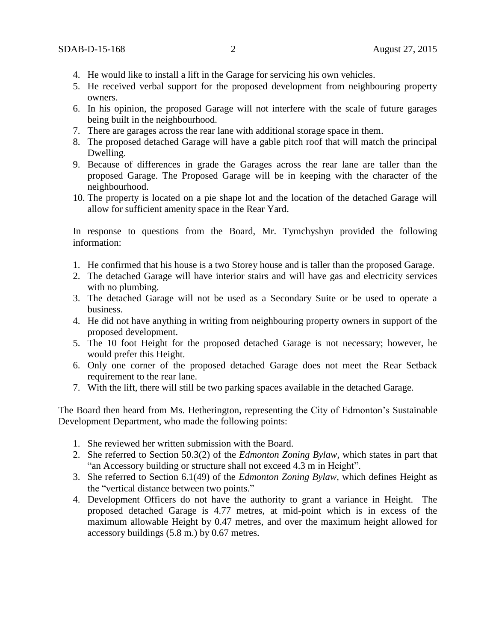- 4. He would like to install a lift in the Garage for servicing his own vehicles.
- 5. He received verbal support for the proposed development from neighbouring property owners.
- 6. In his opinion, the proposed Garage will not interfere with the scale of future garages being built in the neighbourhood.
- 7. There are garages across the rear lane with additional storage space in them.
- 8. The proposed detached Garage will have a gable pitch roof that will match the principal Dwelling.
- 9. Because of differences in grade the Garages across the rear lane are taller than the proposed Garage. The Proposed Garage will be in keeping with the character of the neighbourhood.
- 10. The property is located on a pie shape lot and the location of the detached Garage will allow for sufficient amenity space in the Rear Yard.

In response to questions from the Board, Mr. Tymchyshyn provided the following information:

- 1. He confirmed that his house is a two Storey house and is taller than the proposed Garage.
- 2. The detached Garage will have interior stairs and will have gas and electricity services with no plumbing.
- 3. The detached Garage will not be used as a Secondary Suite or be used to operate a business.
- 4. He did not have anything in writing from neighbouring property owners in support of the proposed development.
- 5. The 10 foot Height for the proposed detached Garage is not necessary; however, he would prefer this Height.
- 6. Only one corner of the proposed detached Garage does not meet the Rear Setback requirement to the rear lane.
- 7. With the lift, there will still be two parking spaces available in the detached Garage.

The Board then heard from Ms. Hetherington, representing the City of Edmonton's Sustainable Development Department, who made the following points:

- 1. She reviewed her written submission with the Board.
- 2. She referred to Section 50.3(2) of the *Edmonton Zoning Bylaw*, which states in part that "an Accessory building or structure shall not exceed 4.3 m in Height".
- 3. She referred to Section 6.1(49) of the *Edmonton Zoning Bylaw,* which defines Height as the "vertical distance between two points."
- 4. Development Officers do not have the authority to grant a variance in Height. The proposed detached Garage is 4.77 metres, at mid-point which is in excess of the maximum allowable Height by 0.47 metres, and over the maximum height allowed for accessory buildings (5.8 m.) by 0.67 metres.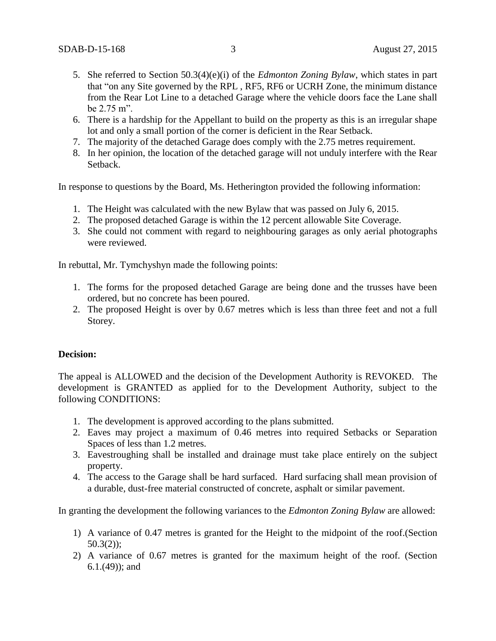- 5. She referred to Section 50.3(4)(e)(i) of the *Edmonton Zoning Bylaw*, which states in part that "on any Site governed by the RPL , RF5, RF6 or UCRH Zone, the minimum distance from the Rear Lot Line to a detached Garage where the vehicle doors face the Lane shall be 2.75 m".
- 6. There is a hardship for the Appellant to build on the property as this is an irregular shape lot and only a small portion of the corner is deficient in the Rear Setback.
- 7. The majority of the detached Garage does comply with the 2.75 metres requirement.
- 8. In her opinion, the location of the detached garage will not unduly interfere with the Rear Setback.

In response to questions by the Board, Ms. Hetherington provided the following information:

- 1. The Height was calculated with the new Bylaw that was passed on July 6, 2015.
- 2. The proposed detached Garage is within the 12 percent allowable Site Coverage.
- 3. She could not comment with regard to neighbouring garages as only aerial photographs were reviewed.

In rebuttal, Mr. Tymchyshyn made the following points:

- 1. The forms for the proposed detached Garage are being done and the trusses have been ordered, but no concrete has been poured.
- 2. The proposed Height is over by 0.67 metres which is less than three feet and not a full Storey.

### **Decision:**

The appeal is ALLOWED and the decision of the Development Authority is REVOKED. The development is GRANTED as applied for to the Development Authority, subject to the following CONDITIONS:

- 1. The development is approved according to the plans submitted.
- 2. Eaves may project a maximum of 0.46 metres into required Setbacks or Separation Spaces of less than 1.2 metres.
- 3. Eavestroughing shall be installed and drainage must take place entirely on the subject property.
- 4. The access to the Garage shall be hard surfaced. Hard surfacing shall mean provision of a durable, dust-free material constructed of concrete, asphalt or similar pavement.

In granting the development the following variances to the *Edmonton Zoning Bylaw* are allowed:

- 1) A variance of 0.47 metres is granted for the Height to the midpoint of the roof.(Section 50.3(2));
- 2) A variance of 0.67 metres is granted for the maximum height of the roof. (Section 6.1.(49)); and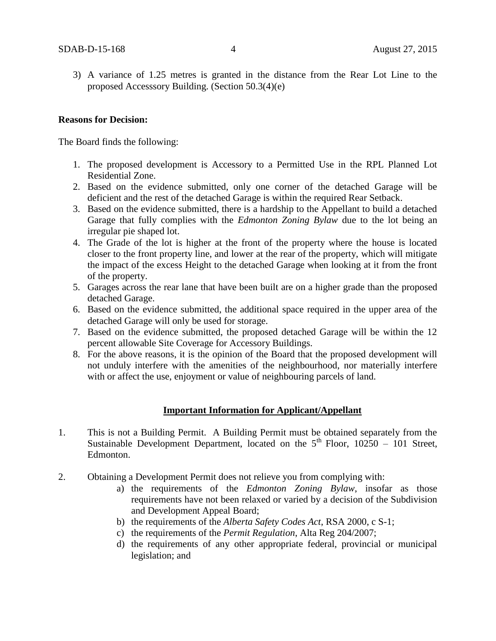3) A variance of 1.25 metres is granted in the distance from the Rear Lot Line to the proposed Accesssory Building. (Section 50.3(4)(e)

### **Reasons for Decision:**

The Board finds the following:

- 1. The proposed development is Accessory to a Permitted Use in the RPL Planned Lot Residential Zone.
- 2. Based on the evidence submitted, only one corner of the detached Garage will be deficient and the rest of the detached Garage is within the required Rear Setback.
- 3. Based on the evidence submitted, there is a hardship to the Appellant to build a detached Garage that fully complies with the *Edmonton Zoning Bylaw* due to the lot being an irregular pie shaped lot.
- 4. The Grade of the lot is higher at the front of the property where the house is located closer to the front property line, and lower at the rear of the property, which will mitigate the impact of the excess Height to the detached Garage when looking at it from the front of the property.
- 5. Garages across the rear lane that have been built are on a higher grade than the proposed detached Garage.
- 6. Based on the evidence submitted, the additional space required in the upper area of the detached Garage will only be used for storage.
- 7. Based on the evidence submitted, the proposed detached Garage will be within the 12 percent allowable Site Coverage for Accessory Buildings.
- 8. For the above reasons, it is the opinion of the Board that the proposed development will not unduly interfere with the amenities of the neighbourhood, nor materially interfere with or affect the use, enjoyment or value of neighbouring parcels of land.

### **Important Information for Applicant/Appellant**

- 1. This is not a Building Permit. A Building Permit must be obtained separately from the Sustainable Development Department, located on the  $5<sup>th</sup>$  Floor, 10250 – 101 Street, Edmonton.
- 2. Obtaining a Development Permit does not relieve you from complying with:
	- a) the requirements of the *Edmonton Zoning Bylaw*, insofar as those requirements have not been relaxed or varied by a decision of the Subdivision and Development Appeal Board;
	- b) the requirements of the *Alberta Safety Codes Act*, RSA 2000, c S-1;
	- c) the requirements of the *Permit Regulation*, Alta Reg 204/2007;
	- d) the requirements of any other appropriate federal, provincial or municipal legislation; and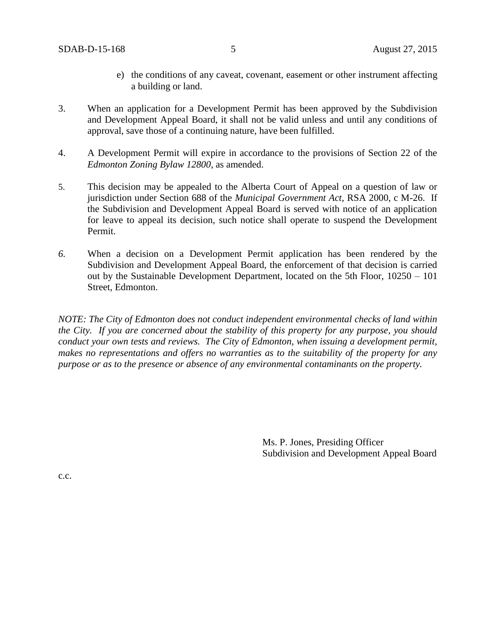- e) the conditions of any caveat, covenant, easement or other instrument affecting a building or land.
- 3. When an application for a Development Permit has been approved by the Subdivision and Development Appeal Board, it shall not be valid unless and until any conditions of approval, save those of a continuing nature, have been fulfilled.
- 4. A Development Permit will expire in accordance to the provisions of Section 22 of the *Edmonton Zoning Bylaw 12800*, as amended.
- 5. This decision may be appealed to the Alberta Court of Appeal on a question of law or jurisdiction under Section 688 of the *Municipal Government Act*, RSA 2000, c M-26. If the Subdivision and Development Appeal Board is served with notice of an application for leave to appeal its decision, such notice shall operate to suspend the Development Permit.
- *6.* When a decision on a Development Permit application has been rendered by the Subdivision and Development Appeal Board, the enforcement of that decision is carried out by the Sustainable Development Department, located on the 5th Floor, 10250 – 101 Street, Edmonton.

*NOTE: The City of Edmonton does not conduct independent environmental checks of land within the City. If you are concerned about the stability of this property for any purpose, you should conduct your own tests and reviews. The City of Edmonton, when issuing a development permit, makes no representations and offers no warranties as to the suitability of the property for any purpose or as to the presence or absence of any environmental contaminants on the property.*

> Ms. P. Jones, Presiding Officer Subdivision and Development Appeal Board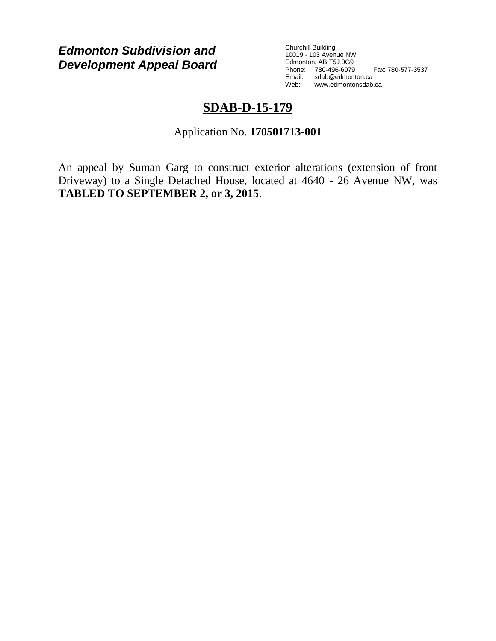*Edmonton Subdivision and Development Appeal Board* Churchill Building 10019 - 103 Avenue NW Edmonton, AB T5J 0G9 Phone: 780-496-6079 Fax: 780-577-3537 Email: sdab@edmonton.ca<br>Web: www.edmonton.com Web: www.edmontonsdab.ca

# **SDAB-D-15-179**

Application No. **170501713-001**

An appeal by Suman Garg to construct exterior alterations (extension of front Driveway) to a Single Detached House, located at 4640 - 26 Avenue NW, was **TABLED TO SEPTEMBER 2, or 3, 2015**.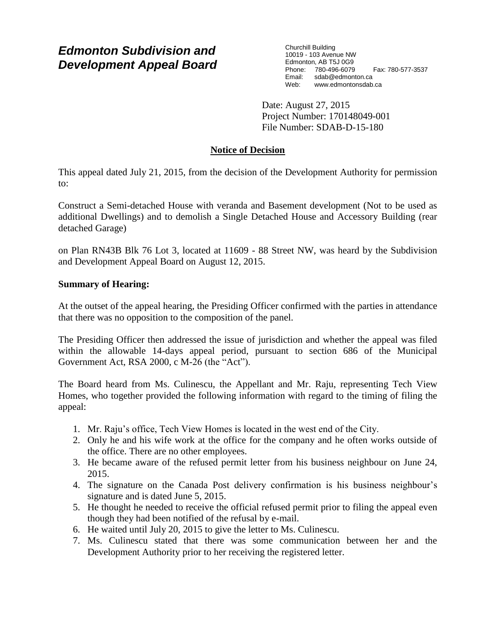# *Edmonton Subdivision and Development Appeal Board*

Churchill Building 10019 - 103 Avenue NW Edmonton, AB T5J 0G9 Phone: 780-496-6079 Fax: 780-577-3537<br>Email: sdab@edmonton.ca sdab@edmonton.ca Web: www.edmontonsdab.ca

Date: August 27, 2015 Project Number: 170148049-001 File Number: SDAB-D-15-180

# **Notice of Decision**

This appeal dated July 21, 2015, from the decision of the Development Authority for permission to:

Construct a Semi-detached House with veranda and Basement development (Not to be used as additional Dwellings) and to demolish a Single Detached House and Accessory Building (rear detached Garage)

on Plan RN43B Blk 76 Lot 3, located at 11609 - 88 Street NW, was heard by the Subdivision and Development Appeal Board on August 12, 2015.

### **Summary of Hearing:**

At the outset of the appeal hearing, the Presiding Officer confirmed with the parties in attendance that there was no opposition to the composition of the panel.

The Presiding Officer then addressed the issue of jurisdiction and whether the appeal was filed within the allowable 14-days appeal period, pursuant to section 686 of the Municipal Government Act, RSA 2000, c M-26 (the "Act").

The Board heard from Ms. Culinescu, the Appellant and Mr. Raju, representing Tech View Homes, who together provided the following information with regard to the timing of filing the appeal:

- 1. Mr. Raju's office, Tech View Homes is located in the west end of the City.
- 2. Only he and his wife work at the office for the company and he often works outside of the office. There are no other employees.
- 3. He became aware of the refused permit letter from his business neighbour on June 24, 2015.
- 4. The signature on the Canada Post delivery confirmation is his business neighbour's signature and is dated June 5, 2015.
- 5. He thought he needed to receive the official refused permit prior to filing the appeal even though they had been notified of the refusal by e-mail.
- 6. He waited until July 20, 2015 to give the letter to Ms. Culinescu.
- 7. Ms. Culinescu stated that there was some communication between her and the Development Authority prior to her receiving the registered letter.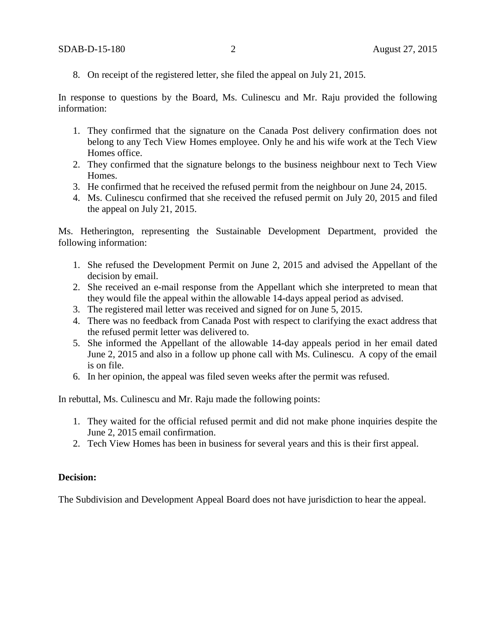8. On receipt of the registered letter, she filed the appeal on July 21, 2015.

In response to questions by the Board, Ms. Culinescu and Mr. Raju provided the following information:

- 1. They confirmed that the signature on the Canada Post delivery confirmation does not belong to any Tech View Homes employee. Only he and his wife work at the Tech View Homes office.
- 2. They confirmed that the signature belongs to the business neighbour next to Tech View Homes.
- 3. He confirmed that he received the refused permit from the neighbour on June 24, 2015.
- 4. Ms. Culinescu confirmed that she received the refused permit on July 20, 2015 and filed the appeal on July 21, 2015.

Ms. Hetherington, representing the Sustainable Development Department, provided the following information:

- 1. She refused the Development Permit on June 2, 2015 and advised the Appellant of the decision by email.
- 2. She received an e-mail response from the Appellant which she interpreted to mean that they would file the appeal within the allowable 14-days appeal period as advised.
- 3. The registered mail letter was received and signed for on June 5, 2015.
- 4. There was no feedback from Canada Post with respect to clarifying the exact address that the refused permit letter was delivered to.
- 5. She informed the Appellant of the allowable 14-day appeals period in her email dated June 2, 2015 and also in a follow up phone call with Ms. Culinescu. A copy of the email is on file.
- 6. In her opinion, the appeal was filed seven weeks after the permit was refused.

In rebuttal, Ms. Culinescu and Mr. Raju made the following points:

- 1. They waited for the official refused permit and did not make phone inquiries despite the June 2, 2015 email confirmation.
- 2. Tech View Homes has been in business for several years and this is their first appeal.

### **Decision:**

The Subdivision and Development Appeal Board does not have jurisdiction to hear the appeal.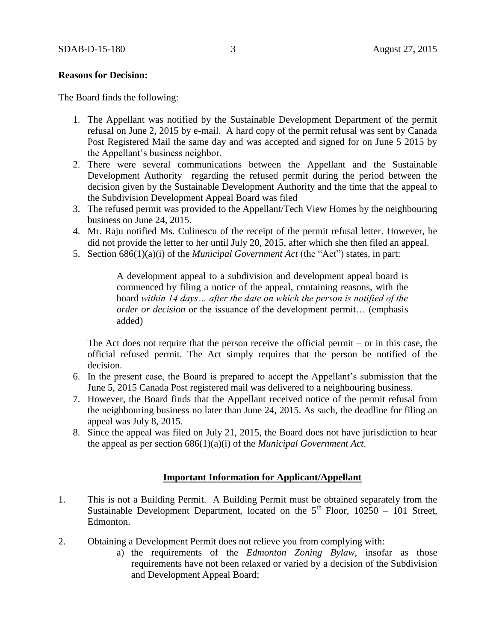#### **Reasons for Decision:**

The Board finds the following:

- 1. The Appellant was notified by the Sustainable Development Department of the permit refusal on June 2, 2015 by e-mail. A hard copy of the permit refusal was sent by Canada Post Registered Mail the same day and was accepted and signed for on June 5 2015 by the Appellant's business neighbor.
- 2. There were several communications between the Appellant and the Sustainable Development Authority regarding the refused permit during the period between the decision given by the Sustainable Development Authority and the time that the appeal to the Subdivision Development Appeal Board was filed
- 3. The refused permit was provided to the Appellant/Tech View Homes by the neighbouring business on June 24, 2015.
- 4. Mr. Raju notified Ms. Culinescu of the receipt of the permit refusal letter. However, he did not provide the letter to her until July 20, 2015, after which she then filed an appeal.
- 5. Section 686(1)(a)(i) of the *Municipal Government Act* (the "Act") states, in part:

A development appeal to a subdivision and development appeal board is commenced by filing a notice of the appeal, containing reasons, with the board *within 14 days… after the date on which the person is notified of the order or decision* or the issuance of the development permit… (emphasis added)

The Act does not require that the person receive the official permit – or in this case, the official refused permit. The Act simply requires that the person be notified of the decision.

- 6. In the present case, the Board is prepared to accept the Appellant's submission that the June 5, 2015 Canada Post registered mail was delivered to a neighbouring business.
- 7. However, the Board finds that the Appellant received notice of the permit refusal from the neighbouring business no later than June 24, 2015. As such, the deadline for filing an appeal was July 8, 2015.
- 8. Since the appeal was filed on July 21, 2015, the Board does not have jurisdiction to hear the appeal as per section 686(1)(a)(i) of the *Municipal Government Act*.

### **Important Information for Applicant/Appellant**

- 1. This is not a Building Permit. A Building Permit must be obtained separately from the Sustainable Development Department, located on the  $5<sup>th</sup>$  Floor, 10250 – 101 Street, Edmonton.
- 2. Obtaining a Development Permit does not relieve you from complying with:
	- a) the requirements of the *Edmonton Zoning Bylaw*, insofar as those requirements have not been relaxed or varied by a decision of the Subdivision and Development Appeal Board;